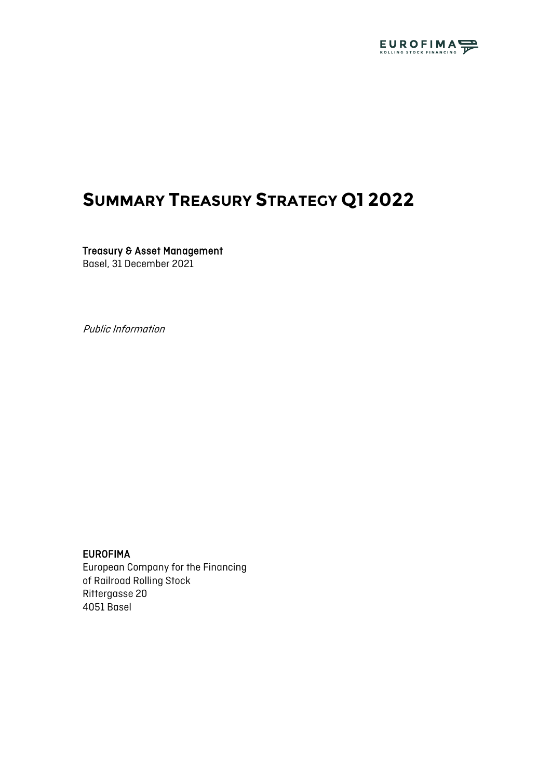

# **SUMMARY TREASURY STRATEGY Q1 2022**

Treasury & Asset Management Basel, 31 December 2021

Public Information

#### EUROFIMA

European Company for the Financing of Railroad Rolling Stock Rittergasse 20 4051 Basel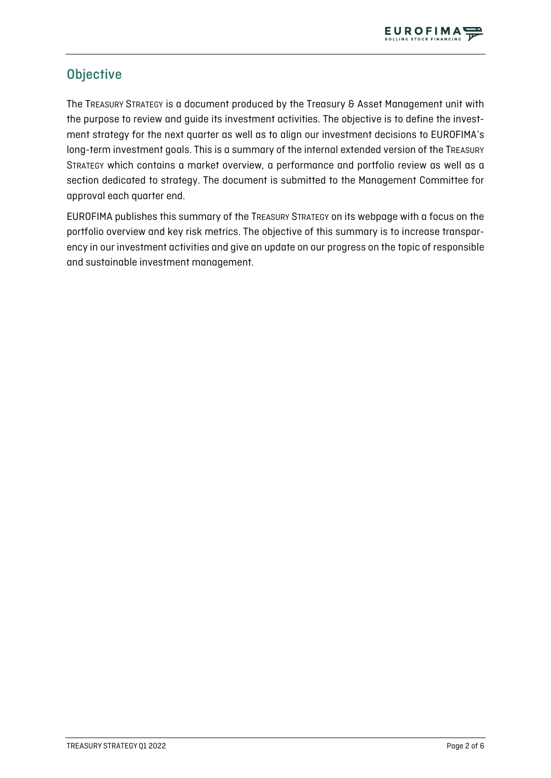

# **Objective**

The TREASURY STRATEGY is a document produced by the Treasury & Asset Management unit with the purpose to review and guide its investment activities. The objective is to define the investment strategy for the next quarter as well as to align our investment decisions to EUROFIMA's long-term investment goals. This is a summary of the internal extended version of the TREASURY STRATEGY which contains a market overview, a performance and portfolio review as well as a section dedicated to strategy. The document is submitted to the Management Committee for approval each quarter end.

EUROFIMA publishes this summary of the TREASURY STRATEGY on its webpage with a focus on the portfolio overview and key risk metrics. The objective of this summary is to increase transparency in our investment activities and give an update on our progress on the topic of responsible and sustainable investment management.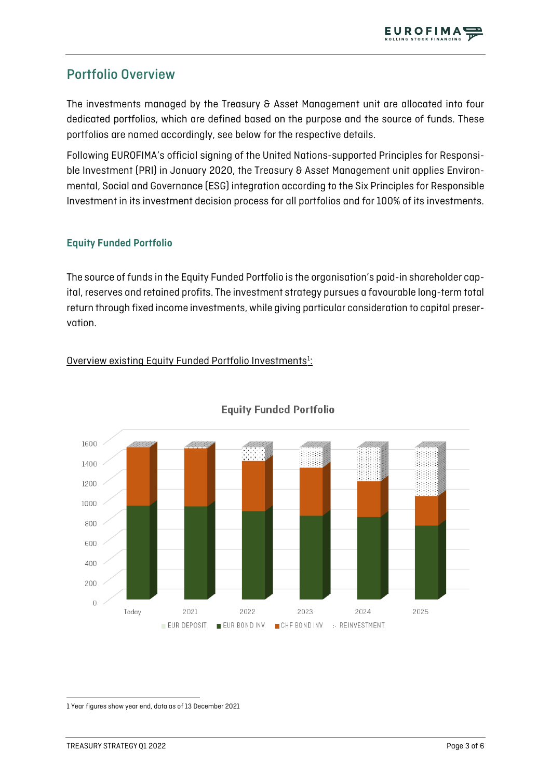# Portfolio Overview

The investments managed by the Treasury & Asset Management unit are allocated into four dedicated portfolios, which are defined based on the purpose and the source of funds. These portfolios are named accordingly, see below for the respective details.

Following EUROFIMA's official signing of the United Nations-supported Principles for Responsible Investment (PRI) in January 2020, the Treasury & Asset Management unit applies Environmental, Social and Governance (ESG) integration according to the Six Principles for Responsible Investment in its investment decision process for all portfolios and for 100% of its investments.

### **Equity Funded Portfolio**

The source of funds in the Equity Funded Portfolio is the organisation's paid-in shareholder capital, reserves and retained profits. The investment strategy pursues a favourable long-term total return through fixed income investments, while giving particular consideration to capital preservation.

### Overview existing Equity Funded Portfolio Investments<sup>[1](#page-2-0)</sup>:



### **Equity Funded Portfolio**

<span id="page-2-0"></span>1 Year figures show year end, data as of 13 December 2021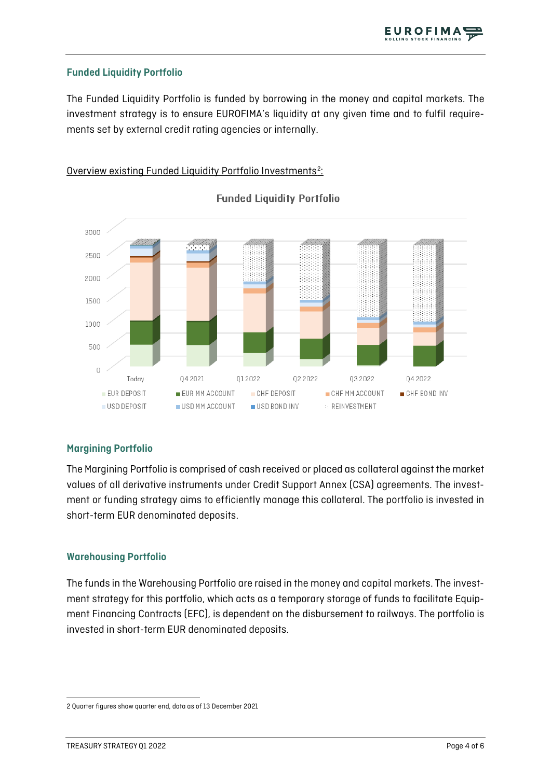#### **Funded Liquidity Portfolio**

The Funded Liquidity Portfolio is funded by borrowing in the money and capital markets. The investment strategy is to ensure EUROFIMA's liquidity at any given time and to fulfil requirements set by external credit rating agencies or internally.

#### Overview existing Funded Liquidity Portfolio Investments<sup>[2](#page-3-0)</sup>:



#### **Funded Liquidity Portfolio**

#### **Margining Portfolio**

The Margining Portfolio is comprised of cash received or placed as collateral against the market values of all derivative instruments under Credit Support Annex (CSA) agreements. The investment or funding strategy aims to efficiently manage this collateral. The portfolio is invested in short-term EUR denominated deposits.

#### **Warehousing Portfolio**

The funds in the Warehousing Portfolio are raised in the money and capital markets. The investment strategy for this portfolio, which acts as a temporary storage of funds to facilitate Equipment Financing Contracts (EFC), is dependent on the disbursement to railways. The portfolio is invested in short-term EUR denominated deposits.

<span id="page-3-0"></span><sup>2</sup> Quarter figures show quarter end, data as of 13 December 2021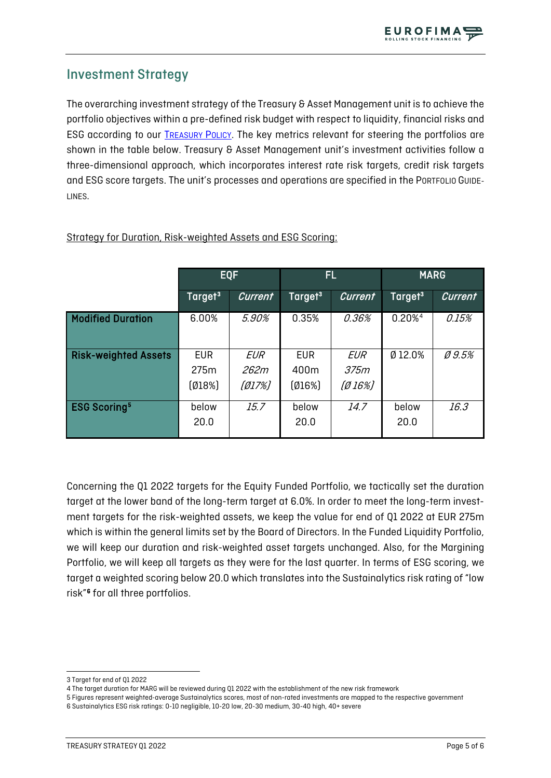# Investment Strategy

The overarching investment strategy of the Treasury & Asset Management unit is to achieve the portfolio objectives within a pre-defined risk budget with respect to liquidity, financial risks and ESG according to our [TREASURY POLICY.](https://www.eurofima.org/sustainability/policies/treasury-policy/#text) The key metrics relevant for steering the portfolios are shown in the table below. Treasury & Asset Management unit's investment activities follow a three-dimensional approach, which incorporates interest rate risk targets, credit risk targets and ESG score targets. The unit's processes and operations are specified in the PORTFOLIO GUIDE-LINES.

|                                | <b>EQF</b>          |                | FL.                 |                | <b>MARG</b>         |          |
|--------------------------------|---------------------|----------------|---------------------|----------------|---------------------|----------|
|                                | Target <sup>3</sup> | <b>Current</b> | Target <sup>3</sup> | <b>Current</b> | Target <sup>3</sup> | Current  |
| <b>Modified Duration</b>       | 6.00%               | 5.90%          | 0.35%               | 0.36%          | 0.20% <sup>4</sup>  | 0.15%    |
| <b>Risk-weighted Assets</b>    | <b>EUR</b>          | EUR            | <b>EUR</b>          | EUR            | Ø 12.0%             | $Ø$ 9.5% |
|                                | 275m                | 262m           | 400m                | 375m           |                     |          |
|                                | (018%)              | [Ø17%]         | [Ø16%]              | $[Ø16\%]$      |                     |          |
| <b>ESG Scoring<sup>5</sup></b> | below               | 15.7           | below               | 14.7           | below               | 16.3     |
|                                | 20.0                |                | 20.0                |                | 20.0                |          |

Strategy for Duration, Risk-weighted Assets and ESG Scoring:

Concerning the Q1 2022 targets for the Equity Funded Portfolio, we tactically set the duration target at the lower band of the long-term target at 6.0%. In order to meet the long-term investment targets for the risk-weighted assets, we keep the value for end of Q1 2022 at EUR 275m which is within the general limits set by the Board of Directors. In the Funded Liquidity Portfolio, we will keep our duration and risk-weighted asset targets unchanged. Also, for the Margining Portfolio, we will keep all targets as they were for the last quarter. In terms of ESG scoring, we target a weighted scoring below 20.0 which translates into the Sustainalytics risk rating of "low risk"[6](#page-4-3) for all three portfolios.

<span id="page-4-0"></span><sup>3</sup> Target for end of Q1 2022

<span id="page-4-1"></span><sup>4</sup> The target duration for MARG will be reviewed during Q1 2022 with the establishment of the new risk framework

<span id="page-4-3"></span><span id="page-4-2"></span><sup>5</sup> Figures represent weighted-average Sustainalytics scores, most of non-rated investments are mapped to the respective government 6 Sustainalytics ESG risk ratings: 0-10 negligible, 10-20 low, 20-30 medium, 30-40 high, 40+ severe